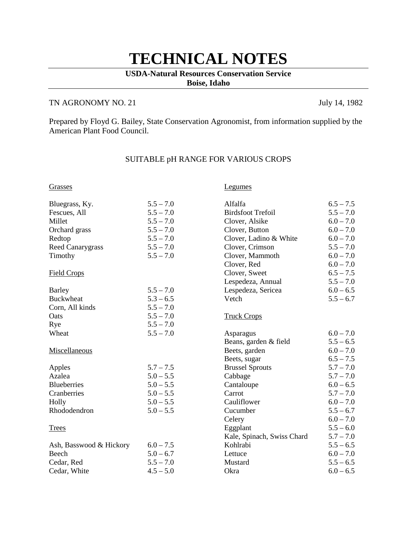# **TECHNICAL NOTES**

### **USDA-Natural Resources Conservation Service Boise, Idaho**

## TN AGRONOMY NO. 21 July 14, 1982

Prepared by Floyd G. Bailey, State Conservation Agronomist, from information supplied by the American Plant Food Council.

| Grasses                 |             | <b>Legumes</b>             |             |
|-------------------------|-------------|----------------------------|-------------|
| Bluegrass, Ky.          | $5.5 - 7.0$ | Alfalfa                    | $6.5 - 7.5$ |
| Fescues, All            | $5.5 - 7.0$ | <b>Birdsfoot Trefoil</b>   | $5.5 - 7.0$ |
| Millet                  | $5.5 - 7.0$ | Clover, Alsike             | $6.0 - 7.0$ |
| Orchard grass           | $5.5 - 7.0$ | Clover, Button             | $6.0 - 7.0$ |
| Redtop                  | $5.5 - 7.0$ | Clover, Ladino & White     | $6.0 - 7.0$ |
| <b>Reed Canarygrass</b> | $5.5 - 7.0$ | Clover, Crimson            | $5.5 - 7.0$ |
| Timothy                 | $5.5 - 7.0$ | Clover, Mammoth            | $6.0 - 7.0$ |
|                         |             | Clover, Red                | $6.0 - 7.0$ |
| <b>Field Crops</b>      |             | Clover, Sweet              | $6.5 - 7.5$ |
|                         |             | Lespedeza, Annual          | $5.5 - 7.0$ |
| Barley                  | $5.5 - 7.0$ | Lespedeza, Sericea         | $6.0 - 6.5$ |
| <b>Buckwheat</b>        | $5.3 - 6.5$ | Vetch                      | $5.5 - 6.7$ |
| Corn, All kinds         | $5.5 - 7.0$ |                            |             |
| Oats                    | $5.5 - 7.0$ | <b>Truck Crops</b>         |             |
| Rye                     | $5.5 - 7.0$ |                            |             |
| Wheat                   | $5.5 - 7.0$ | Asparagus                  | $6.0 - 7.0$ |
|                         |             | Beans, garden & field      | $5.5 - 6.5$ |
| Miscellaneous           |             | Beets, garden              | $6.0 - 7.0$ |
|                         |             | Beets, sugar               | $6.5 - 7.5$ |
| Apples                  | $5.7 - 7.5$ | <b>Brussel Sprouts</b>     | $5.7 - 7.0$ |
| Azalea                  | $5.0 - 5.5$ | Cabbage                    | $5.7 - 7.0$ |
| <b>Blueberries</b>      | $5.0 - 5.5$ | Cantaloupe                 | $6.0 - 6.5$ |
| Cranberries             | $5.0 - 5.5$ | Carrot                     | $5.7 - 7.0$ |
| Holly                   | $5.0 - 5.5$ | Cauliflower                | $6.0 - 7.0$ |
| Rhododendron            | $5.0 - 5.5$ | Cucumber                   | $5.5 - 6.7$ |
|                         |             | Celery                     | $6.0 - 7.0$ |
| <b>Trees</b>            |             | Eggplant                   | $5.5 - 6.0$ |
|                         |             | Kale, Spinach, Swiss Chard | $5.7 - 7.0$ |
| Ash, Basswood & Hickory | $6.0 - 7.5$ | Kohlrabi                   | $5.5 - 6.5$ |
| Beech                   | $5.0 - 6.7$ | Lettuce                    | $6.0 - 7.0$ |
| Cedar, Red              | $5.5 - 7.0$ | Mustard                    | $5.5 - 6.5$ |
| Cedar, White            | $4.5 - 5.0$ | Okra                       | $6.0 - 6.5$ |
|                         |             |                            |             |

# SUITABLE pH RANGE FOR VARIOUS CROPS